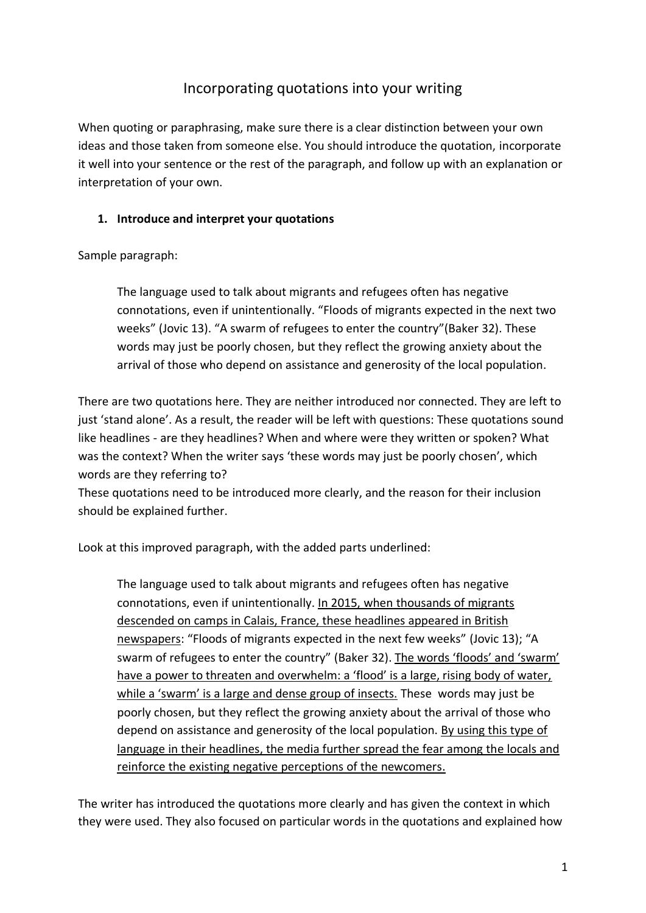# Incorporating quotations into your writing

When quoting or paraphrasing, make sure there is a clear distinction between your own ideas and those taken from someone else. You should introduce the quotation, incorporate it well into your sentence or the rest of the paragraph, and follow up with an explanation or interpretation of your own.

### **1. Introduce and interpret your quotations**

Sample paragraph:

The language used to talk about migrants and refugees often has negative connotations, even if unintentionally. "Floods of migrants expected in the next two weeks" (Jovic 13). "A swarm of refugees to enter the country"(Baker 32). These words may just be poorly chosen, but they reflect the growing anxiety about the arrival of those who depend on assistance and generosity of the local population.

There are two quotations here. They are neither introduced nor connected. They are left to just 'stand alone'. As a result, the reader will be left with questions: These quotations sound like headlines - are they headlines? When and where were they written or spoken? What was the context? When the writer says 'these words may just be poorly chosen', which words are they referring to?

These quotations need to be introduced more clearly, and the reason for their inclusion should be explained further.

Look at this improved paragraph, with the added parts underlined:

The language used to talk about migrants and refugees often has negative connotations, even if unintentionally. In 2015, when thousands of migrants descended on camps in Calais, France, these headlines appeared in British newspapers: "Floods of migrants expected in the next few weeks" (Jovic 13); "A swarm of refugees to enter the country" (Baker 32). The words 'floods' and 'swarm' have a power to threaten and overwhelm: a 'flood' is a large, rising body of water, while a 'swarm' is a large and dense group of insects. These words may just be poorly chosen, but they reflect the growing anxiety about the arrival of those who depend on assistance and generosity of the local population. By using this type of language in their headlines, the media further spread the fear among the locals and reinforce the existing negative perceptions of the newcomers.

The writer has introduced the quotations more clearly and has given the context in which they were used. They also focused on particular words in the quotations and explained how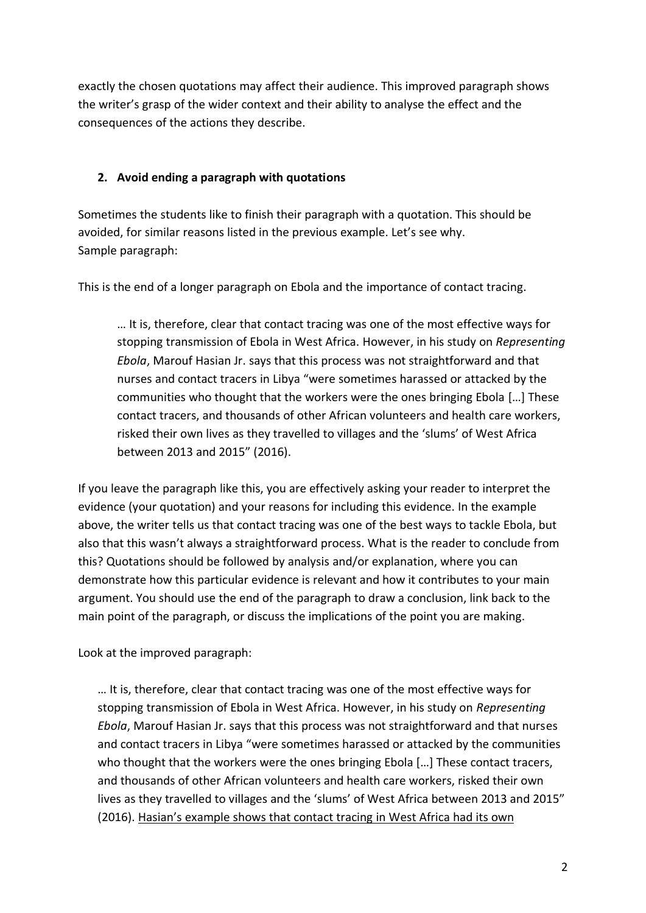exactly the chosen quotations may affect their audience. This improved paragraph shows the writer's grasp of the wider context and their ability to analyse the effect and the consequences of the actions they describe.

## **2. Avoid ending a paragraph with quotations**

Sometimes the students like to finish their paragraph with a quotation. This should be avoided, for similar reasons listed in the previous example. Let's see why. Sample paragraph:

This is the end of a longer paragraph on Ebola and the importance of contact tracing.

… It is, therefore, clear that contact tracing was one of the most effective ways for stopping transmission of Ebola in West Africa. However, in his study on *Representing Ebola*, Marouf Hasian Jr. says that this process was not straightforward and that nurses and contact tracers in Libya "were sometimes harassed or attacked by the communities who thought that the workers were the ones bringing Ebola […] These contact tracers, and thousands of other African volunteers and health care workers, risked their own lives as they travelled to villages and the 'slums' of West Africa between 2013 and 2015" (2016).

If you leave the paragraph like this, you are effectively asking your reader to interpret the evidence (your quotation) and your reasons for including this evidence. In the example above, the writer tells us that contact tracing was one of the best ways to tackle Ebola, but also that this wasn't always a straightforward process. What is the reader to conclude from this? Quotations should be followed by analysis and/or explanation, where you can demonstrate how this particular evidence is relevant and how it contributes to your main argument. You should use the end of the paragraph to draw a conclusion, link back to the main point of the paragraph, or discuss the implications of the point you are making.

Look at the improved paragraph:

… It is, therefore, clear that contact tracing was one of the most effective ways for stopping transmission of Ebola in West Africa. However, in his study on *Representing Ebola*, Marouf Hasian Jr. says that this process was not straightforward and that nurses and contact tracers in Libya "were sometimes harassed or attacked by the communities who thought that the workers were the ones bringing Ebola […] These contact tracers, and thousands of other African volunteers and health care workers, risked their own lives as they travelled to villages and the 'slums' of West Africa between 2013 and 2015" (2016). Hasian's example shows that contact tracing in West Africa had its own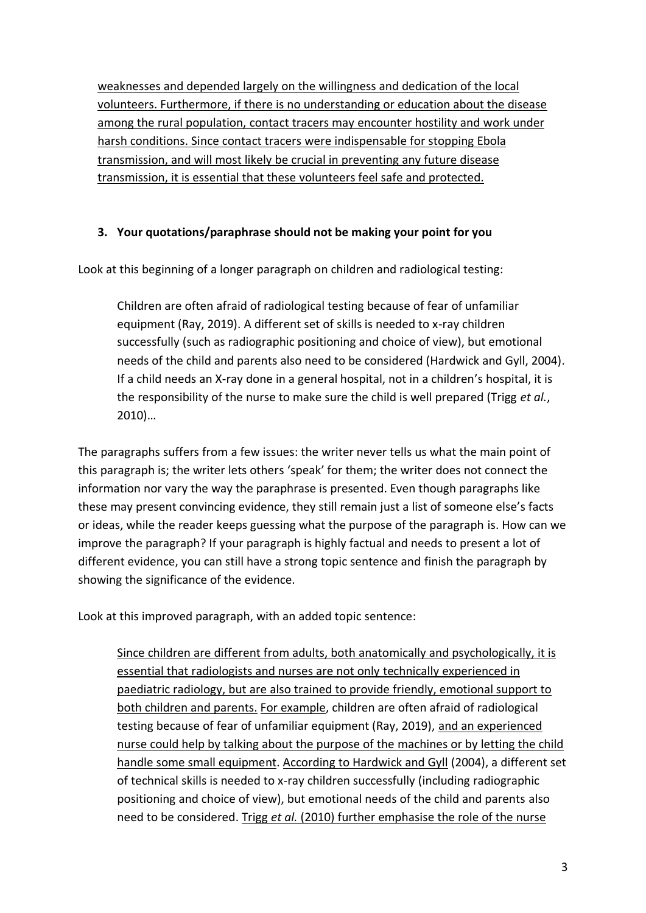weaknesses and depended largely on the willingness and dedication of the local volunteers. Furthermore, if there is no understanding or education about the disease among the rural population, contact tracers may encounter hostility and work under harsh conditions. Since contact tracers were indispensable for stopping Ebola transmission, and will most likely be crucial in preventing any future disease transmission, it is essential that these volunteers feel safe and protected.

#### **3. Your quotations/paraphrase should not be making your point for you**

Look at this beginning of a longer paragraph on children and radiological testing:

Children are often afraid of radiological testing because of fear of unfamiliar equipment (Ray, 2019). A different set of skills is needed to x-ray children successfully (such as radiographic positioning and choice of view), but emotional needs of the child and parents also need to be considered (Hardwick and Gyll, 2004). If a child needs an X-ray done in a general hospital, not in a children's hospital, it is the responsibility of the nurse to make sure the child is well prepared (Trigg *et al.*, 2010)…

The paragraphs suffers from a few issues: the writer never tells us what the main point of this paragraph is; the writer lets others 'speak' for them; the writer does not connect the information nor vary the way the paraphrase is presented. Even though paragraphs like these may present convincing evidence, they still remain just a list of someone else's facts or ideas, while the reader keeps guessing what the purpose of the paragraph is. How can we improve the paragraph? If your paragraph is highly factual and needs to present a lot of different evidence, you can still have a strong topic sentence and finish the paragraph by showing the significance of the evidence.

Look at this improved paragraph, with an added topic sentence:

Since children are different from adults, both anatomically and psychologically, it is essential that radiologists and nurses are not only technically experienced in paediatric radiology, but are also trained to provide friendly, emotional support to both children and parents. For example, children are often afraid of radiological testing because of fear of unfamiliar equipment (Ray, 2019), and an experienced nurse could help by talking about the purpose of the machines or by letting the child handle some small equipment. According to Hardwick and Gyll (2004), a different set of technical skills is needed to x-ray children successfully (including radiographic positioning and choice of view), but emotional needs of the child and parents also need to be considered. Trigg *et al.* (2010) further emphasise the role of the nurse